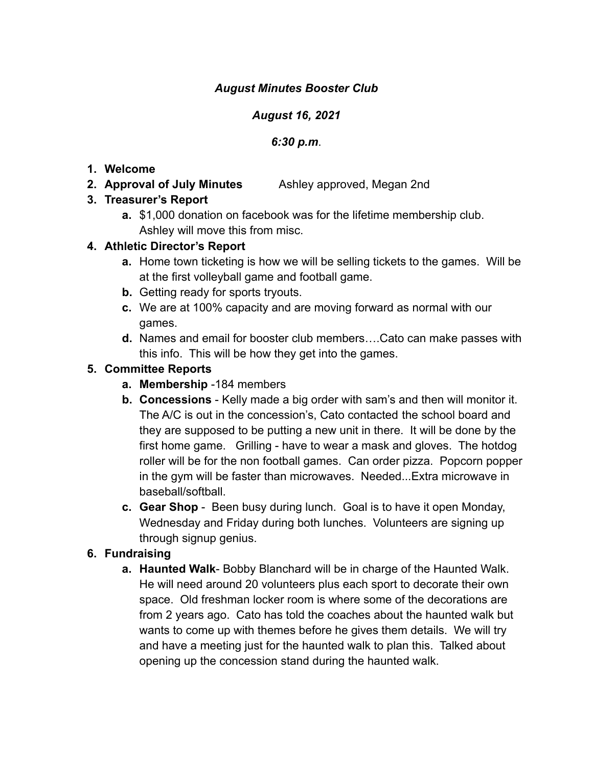### *August Minutes Booster Club*

#### *August 16, 2021*

#### *6:30 p.m*.

#### **1. Welcome**

**2. Approval of July Minutes** Ashley approved, Megan 2nd

### **3. Treasurer's Report**

**a.** \$1,000 donation on facebook was for the lifetime membership club. Ashley will move this from misc.

### **4. Athletic Director's Report**

- **a.** Home town ticketing is how we will be selling tickets to the games. Will be at the first volleyball game and football game.
- **b.** Getting ready for sports tryouts.
- **c.** We are at 100% capacity and are moving forward as normal with our games.
- **d.** Names and email for booster club members….Cato can make passes with this info. This will be how they get into the games.

### **5. Committee Reports**

- **a. Membership** -184 members
- **b. Concessions** Kelly made a big order with sam's and then will monitor it. The A/C is out in the concession's, Cato contacted the school board and they are supposed to be putting a new unit in there. It will be done by the first home game. Grilling - have to wear a mask and gloves. The hotdog roller will be for the non football games. Can order pizza. Popcorn popper in the gym will be faster than microwaves. Needed...Extra microwave in baseball/softball.
- **c. Gear Shop** Been busy during lunch. Goal is to have it open Monday, Wednesday and Friday during both lunches. Volunteers are signing up through signup genius.

## **6. Fundraising**

**a. Haunted Walk**- Bobby Blanchard will be in charge of the Haunted Walk. He will need around 20 volunteers plus each sport to decorate their own space. Old freshman locker room is where some of the decorations are from 2 years ago. Cato has told the coaches about the haunted walk but wants to come up with themes before he gives them details. We will try and have a meeting just for the haunted walk to plan this. Talked about opening up the concession stand during the haunted walk.